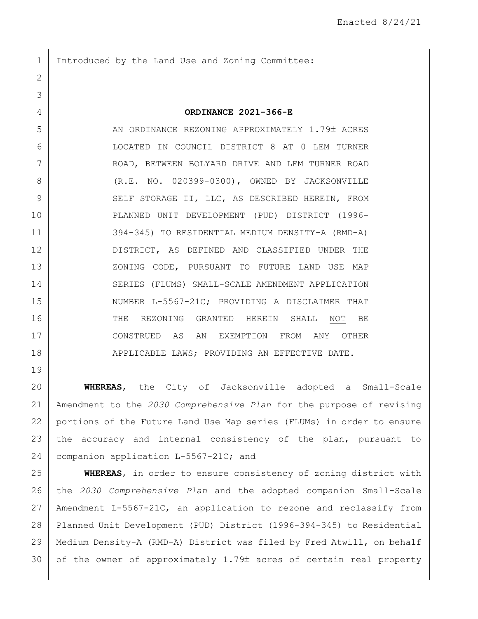1 Introduced by the Land Use and Zoning Committee:

## **ORDINANCE 2021-366-E**

5 AN ORDINANCE REZONING APPROXIMATELY 1.79± ACRES LOCATED IN COUNCIL DISTRICT 8 AT 0 LEM TURNER ROAD, BETWEEN BOLYARD DRIVE AND LEM TURNER ROAD (R.E. NO. 020399-0300), OWNED BY JACKSONVILLE 9 SELF STORAGE II, LLC, AS DESCRIBED HEREIN, FROM PLANNED UNIT DEVELOPMENT (PUD) DISTRICT (1996- 394-345) TO RESIDENTIAL MEDIUM DENSITY-A (RMD-A) DISTRICT, AS DEFINED AND CLASSIFIED UNDER THE 13 XONING CODE, PURSUANT TO FUTURE LAND USE MAP SERIES (FLUMS) SMALL-SCALE AMENDMENT APPLICATION 15 NUMBER L-5567-21C; PROVIDING A DISCLAIMER THAT 16 THE REZONING GRANTED HEREIN SHALL NOT BE CONSTRUED AS AN EXEMPTION FROM ANY OTHER 18 | APPLICABLE LAWS; PROVIDING AN EFFECTIVE DATE.

 **WHEREAS**, the City of Jacksonville adopted a Small-Scale Amendment to the *2030 Comprehensive Plan* for the purpose of revising portions of the Future Land Use Map series (FLUMs) in order to ensure the accuracy and internal consistency of the plan, pursuant to 24 companion application L-5567-21C; and

 **WHEREAS**, in order to ensure consistency of zoning district with the *2030 Comprehensive Plan* and the adopted companion Small-Scale Amendment L-5567-21C, an application to rezone and reclassify from Planned Unit Development (PUD) District (1996-394-345) to Residential Medium Density-A (RMD-A) District was filed by Fred Atwill, on behalf of the owner of approximately 1.79± acres of certain real property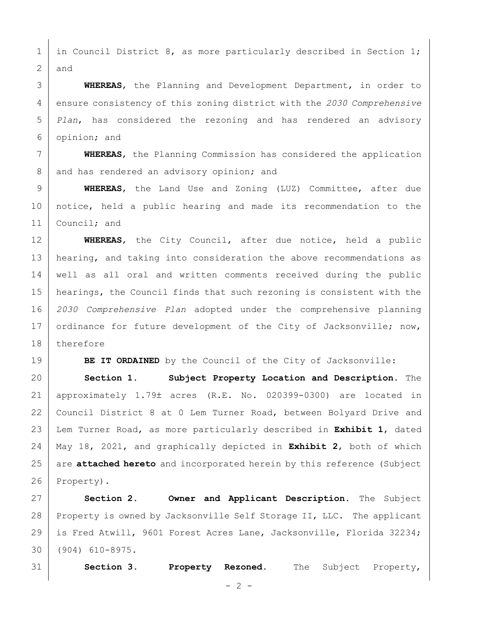1 in Council District 8, as more particularly described in Section 1; and

 **WHEREAS**, the Planning and Development Department, in order to ensure consistency of this zoning district with the *2030 Comprehensive Plan*, has considered the rezoning and has rendered an advisory opinion; and

 **WHEREAS**, the Planning Commission has considered the application 8 and has rendered an advisory opinion; and

 **WHEREAS**, the Land Use and Zoning (LUZ) Committee, after due notice, held a public hearing and made its recommendation to the 11 | Council; and

 **WHEREAS**, the City Council, after due notice, held a public 13 | hearing, and taking into consideration the above recommendations as well as all oral and written comments received during the public hearings, the Council finds that such rezoning is consistent with the *2030 Comprehensive Plan* adopted under the comprehensive planning 17 ordinance for future development of the City of Jacksonville; now, therefore

**BE IT ORDAINED** by the Council of the City of Jacksonville:

 **Section 1. Subject Property Location and Description.** The 21 | approximately  $1.79\pm$  acres (R.E. No. 020399-0300) are located in 22 Council District 8 at 0 Lem Turner Road, between Bolyard Drive and Lem Turner Road, as more particularly described in **Exhibit 1**, dated May 18, 2021, and graphically depicted in **Exhibit 2**, both of which are **attached hereto** and incorporated herein by this reference (Subject Property).

 **Section 2. Owner and Applicant Description.** The Subject Property is owned by Jacksonville Self Storage II, LLC. The applicant is Fred Atwill, 9601 Forest Acres Lane, Jacksonville, Florida 32234; (904) 610-8975.

**Section 3. Property Rezoned.** The Subject Property,

 $- 2 -$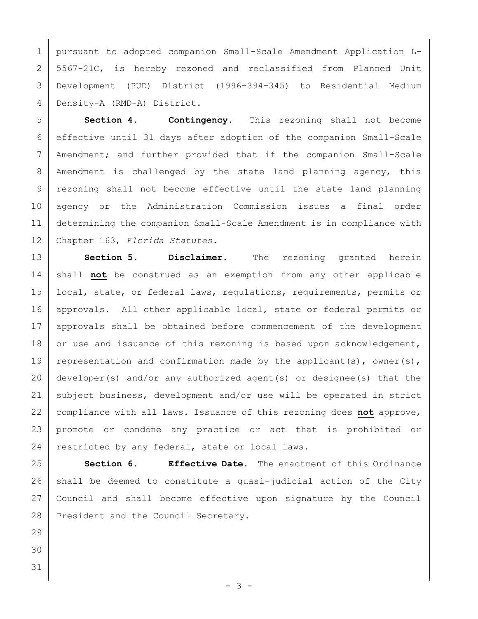pursuant to adopted companion Small-Scale Amendment Application L- 5567-21C, is hereby rezoned and reclassified from Planned Unit Development (PUD) District (1996-394-345) to Residential Medium Density-A (RMD-A) District.

 **Section 4. Contingency.** This rezoning shall not become effective until 31 days after adoption of the companion Small-Scale Amendment; and further provided that if the companion Small-Scale 8 | Amendment is challenged by the state land planning agency, this 9 | rezoning shall not become effective until the state land planning agency or the Administration Commission issues a final order determining the companion Small-Scale Amendment is in compliance with Chapter 163, *Florida Statutes.*

 **Section 5. Disclaimer.** The rezoning granted herein shall **not** be construed as an exemption from any other applicable local, state, or federal laws, regulations, requirements, permits or 16 | approvals. All other applicable local, state or federal permits or 17 | approvals shall be obtained before commencement of the development 18 or use and issuance of this rezoning is based upon acknowledgement, 19 representation and confirmation made by the applicant(s), owner(s), developer(s) and/or any authorized agent(s) or designee(s) that the 21 | subject business, development and/or use will be operated in strict compliance with all laws. Issuance of this rezoning does **not** approve, promote or condone any practice or act that is prohibited or 24 restricted by any federal, state or local laws.

 **Section 6. Effective Date.** The enactment of this Ordinance shall be deemed to constitute a quasi-judicial action of the City Council and shall become effective upon signature by the Council 28 President and the Council Secretary.

- 
- 
-